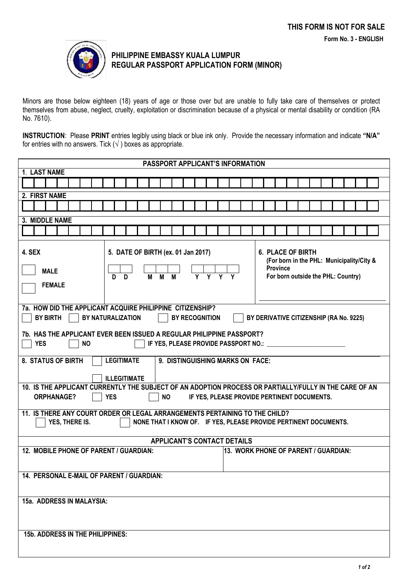

## **PHILIPPINE EMBASSY KUALA LUMPUR REGULAR PASSPORT APPLICATION FORM (MINOR)**

Minors are those below eighteen (18) years of age or those over but are unable to fully take care of themselves or protect themselves from abuse, neglect, cruelty, exploitation or discrimination because of a physical or mental disability or condition (RA No. 7610).

**INSTRUCTION**: Please **PRINT** entries legibly using black or blue ink only. Provide the necessary information and indicate **"N/A"** for entries with no answers. Tick  $(\sqrt{})$  boxes as appropriate.

| PASSPORT APPLICANT'S INFORMATION                                                                                                                                                                                                                                        |  |  |  |  |
|-------------------------------------------------------------------------------------------------------------------------------------------------------------------------------------------------------------------------------------------------------------------------|--|--|--|--|
| 1. LAST NAME                                                                                                                                                                                                                                                            |  |  |  |  |
|                                                                                                                                                                                                                                                                         |  |  |  |  |
| 2. FIRST NAME                                                                                                                                                                                                                                                           |  |  |  |  |
|                                                                                                                                                                                                                                                                         |  |  |  |  |
| 3. MIDDLE NAME                                                                                                                                                                                                                                                          |  |  |  |  |
|                                                                                                                                                                                                                                                                         |  |  |  |  |
| 4. SEX<br>5. DATE OF BIRTH (ex. 01 Jan 2017)<br><b>6. PLACE OF BIRTH</b><br>(For born in the PHL: Municipality/City &<br><b>Province</b><br><b>MALE</b><br>$\overline{M}$<br>$\overline{\mathsf{M}}$<br>For born outside the PHL: Country)<br>n.<br>D.<br><b>FEMALE</b> |  |  |  |  |
| 7a. HOW DID THE APPLICANT ACQUIRE PHILIPPINE CITIZENSHIP?<br><b>BY BIRTH</b><br>BY NATURALIZATION<br>BY RECOGNITION<br>BY DERIVATIVE CITIZENSHIP (RA No. 9225)                                                                                                          |  |  |  |  |
| 7b. HAS THE APPLICANT EVER BEEN ISSUED A REGULAR PHILIPPINE PASSPORT?<br><b>YES</b><br>IF YES, PLEASE PROVIDE PASSPORT NO.: \[<br><b>NO</b>                                                                                                                             |  |  |  |  |
| <b>8. STATUS OF BIRTH</b><br><b>LEGITIMATE</b><br>9. DISTINGUISHING MARKS ON FACE:                                                                                                                                                                                      |  |  |  |  |
| <b>ILLEGITIMATE</b>                                                                                                                                                                                                                                                     |  |  |  |  |
| 10. IS THE APPLICANT CURRENTLY THE SUBJECT OF AN ADOPTION PROCESS OR PARTIALLY/FULLY IN THE CARE OF AN                                                                                                                                                                  |  |  |  |  |
| <b>YES</b><br>IF YES, PLEASE PROVIDE PERTINENT DOCUMENTS.<br><b>NO</b><br><b>ORPHANAGE?</b>                                                                                                                                                                             |  |  |  |  |
| 11. IS THERE ANY COURT ORDER OR LEGAL ARRANGEMENTS PERTAINING TO THE CHILD?<br>YES, THERE IS.<br>NONE THAT I KNOW OF. IF YES, PLEASE PROVIDE PERTINENT DOCUMENTS.                                                                                                       |  |  |  |  |
| <b>APPLICANT'S CONTACT DETAILS</b>                                                                                                                                                                                                                                      |  |  |  |  |
| 12. MOBILE PHONE OF PARENT / GUARDIAN:<br>13. WORK PHONE OF PARENT / GUARDIAN:                                                                                                                                                                                          |  |  |  |  |
| 14. PERSONAL E-MAIL OF PARENT / GUARDIAN:                                                                                                                                                                                                                               |  |  |  |  |
| 15a. ADDRESS IN MALAYSIA:                                                                                                                                                                                                                                               |  |  |  |  |
| <b>15b. ADDRESS IN THE PHILIPPINES:</b>                                                                                                                                                                                                                                 |  |  |  |  |